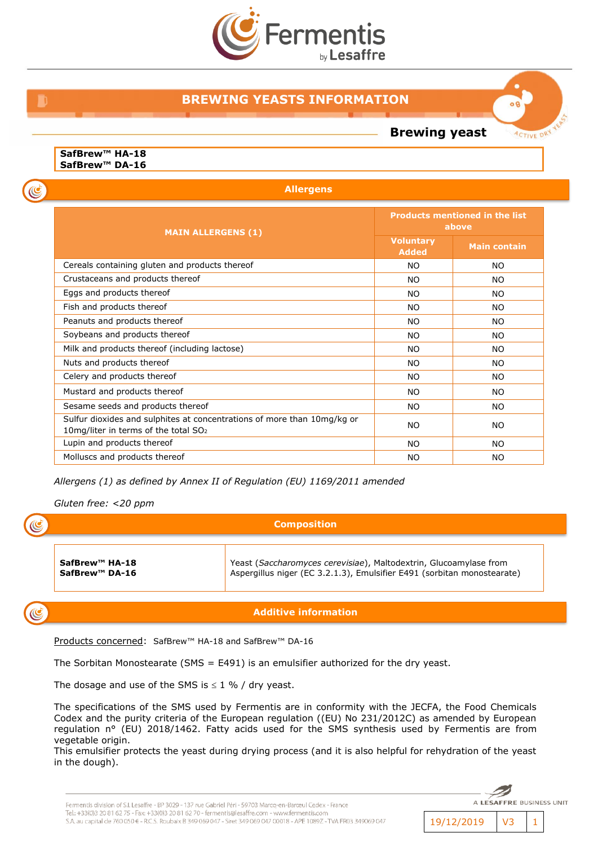

# **BREWING YEASTS INFORMATION**

**Brewing yeast**

o A

**ACTIVE DRY** 

**SafBrew™ HA-18 SafBrew™ DA-16**

 $\mathbf C$ 

C

C

**Allergens**

| <b>MAIN ALLERGENS (1)</b>                                                                                                   | <b>Products mentioned in the list</b><br>above |                     |
|-----------------------------------------------------------------------------------------------------------------------------|------------------------------------------------|---------------------|
|                                                                                                                             | <b>Voluntary</b><br><b>Added</b>               | <b>Main contain</b> |
| Cereals containing gluten and products thereof                                                                              | <b>NO</b>                                      | <b>NO</b>           |
| Crustaceans and products thereof                                                                                            | <b>NO</b>                                      | <b>NO</b>           |
| Eggs and products thereof                                                                                                   | <b>NO</b>                                      | <b>NO</b>           |
| Fish and products thereof                                                                                                   | <b>NO</b>                                      | NO.                 |
| Peanuts and products thereof                                                                                                | <b>NO</b>                                      | NO.                 |
| Soybeans and products thereof                                                                                               | <b>NO</b>                                      | <b>NO</b>           |
| Milk and products thereof (including lactose)                                                                               | <b>NO</b>                                      | NO.                 |
| Nuts and products thereof                                                                                                   | <b>NO</b>                                      | NO.                 |
| Celery and products thereof                                                                                                 | <b>NO</b>                                      | NO.                 |
| Mustard and products thereof                                                                                                | NO.                                            | NO.                 |
| Sesame seeds and products thereof                                                                                           | <b>NO</b>                                      | NO.                 |
| Sulfur dioxides and sulphites at concentrations of more than 10mg/kg or<br>10mg/liter in terms of the total SO <sub>2</sub> | <b>NO</b>                                      | NO.                 |
| Lupin and products thereof                                                                                                  | <b>NO</b>                                      | <b>NO</b>           |
| Molluscs and products thereof                                                                                               | <b>NO</b>                                      | <b>NO</b>           |

*Allergens (1) as defined by Annex II of Regulation (EU) 1169/2011 amended*

*Gluten free: <20 ppm*

**Composition**

**SafBrew™ HA-18 SafBrew™ DA-16** Yeast (*Saccharomyces cerevisiae*), Maltodextrin, Glucoamylase from Aspergillus niger (EC 3.2.1.3), Emulsifier E491 (sorbitan monostearate)

## **Additive information**

Products concerned: SafBrew™ HA-18 and SafBrew™ DA-16

The Sorbitan Monostearate (SMS = E491) is an emulsifier authorized for the dry yeast.

The dosage and use of the SMS is  $\leq 1$  % / dry yeast.

The specifications of the SMS used by Fermentis are in conformity with the JECFA, the Food Chemicals Codex and the purity criteria of the European regulation ((EU) No 231/2012C) as amended by European regulation n° (EU) 2018/1462. Fatty acids used for the SMS synthesis used by Fermentis are from vegetable origin.

This emulsifier protects the yeast during drying process (and it is also helpful for rehydration of the yeast in the dough).

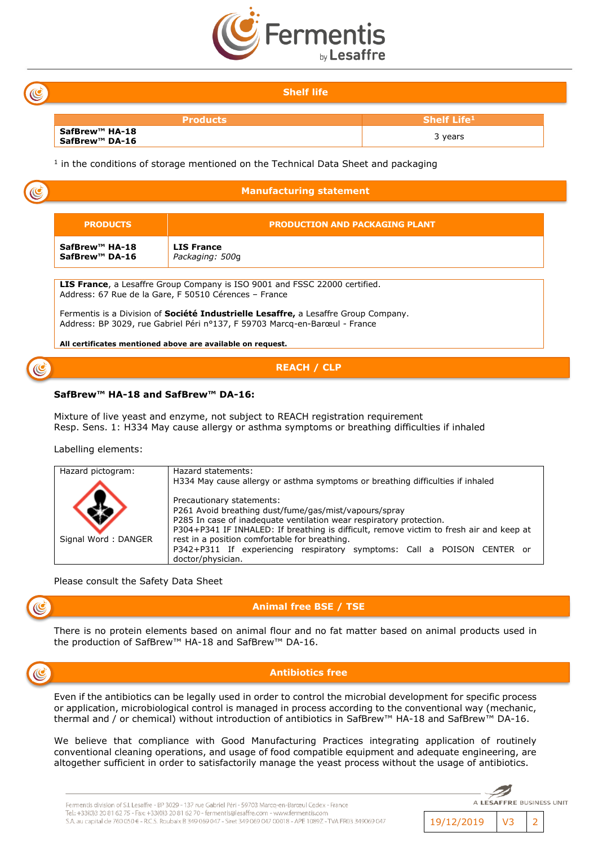

### **Shelf life**

| <b>Products</b>                  | <b>Shelf Life1</b> |
|----------------------------------|--------------------|
| SafBrew™ HA-18<br>SafBrew™ DA-16 | years              |

 $<sup>1</sup>$  in the conditions of storage mentioned on the Technical Data Sheet and packaging</sup>

| <b>PRODUCTS</b>                                          | <b>PRODUCTION AND PACKAGING PLANT</b>                                                                                                                                                                                                                                                                                   |  |
|----------------------------------------------------------|-------------------------------------------------------------------------------------------------------------------------------------------------------------------------------------------------------------------------------------------------------------------------------------------------------------------------|--|
| SafBrew <sup>™</sup> HA-18<br>SafBrew <sup>™</sup> DA-16 | <b>LIS France</b><br>Packaging: 500g                                                                                                                                                                                                                                                                                    |  |
|                                                          | <b>LIS France</b> , a Lesaffre Group Company is ISO 9001 and FSSC 22000 certified.<br>Address: 67 Rue de la Gare, F 50510 Cérences - France<br>Fermentis is a Division of <b>Société Industrielle Lesaffre,</b> a Lesaffre Group Company.<br>Address: BP 3029, rue Gabriel Péri nº137, F 59703 Marcq-en-Barœul - France |  |

### **SafBrew™ HA-18 and SafBrew™ DA-16:**

Mixture of live yeast and enzyme, not subject to REACH registration requirement Resp. Sens. 1: H334 May cause allergy or asthma symptoms or breathing difficulties if inhaled

Labelling elements:

| Hazard pictogram:   | Hazard statements:                                                                      |  |
|---------------------|-----------------------------------------------------------------------------------------|--|
|                     | H334 May cause allergy or asthma symptoms or breathing difficulties if inhaled          |  |
|                     | Precautionary statements:                                                               |  |
|                     | P261 Avoid breathing dust/fume/gas/mist/vapours/spray                                   |  |
|                     | P285 In case of inadequate ventilation wear respiratory protection.                     |  |
|                     | P304+P341 IF INHALED: If breathing is difficult, remove victim to fresh air and keep at |  |
| Signal Word: DANGER | rest in a position comfortable for breathing.                                           |  |
|                     | P342+P311 If experiencing respiratory symptoms: Call a POISON CENTER or                 |  |
|                     | doctor/physician.                                                                       |  |

Please consult the Safety Data Sheet

**Animal free BSE / TSE**

There is no protein elements based on animal flour and no fat matter based on animal products used in the production of SafBrew™ HA-18 and SafBrew™ DA-16.



### **Antibiotics free**

Even if the antibiotics can be legally used in order to control the microbial development for specific process or application, microbiological control is managed in process according to the conventional way (mechanic, thermal and / or chemical) without introduction of antibiotics in SafBrew™ HA-18 and SafBrew™ DA-16.

We believe that compliance with Good Manufacturing Practices integrating application of routinely conventional cleaning operations, and usage of food compatible equipment and adequate engineering, are altogether sufficient in order to satisfactorily manage the yeast process without the usage of antibiotics.

19/12/2019 V3 2

A LESAFFRE BUSINESS UNIT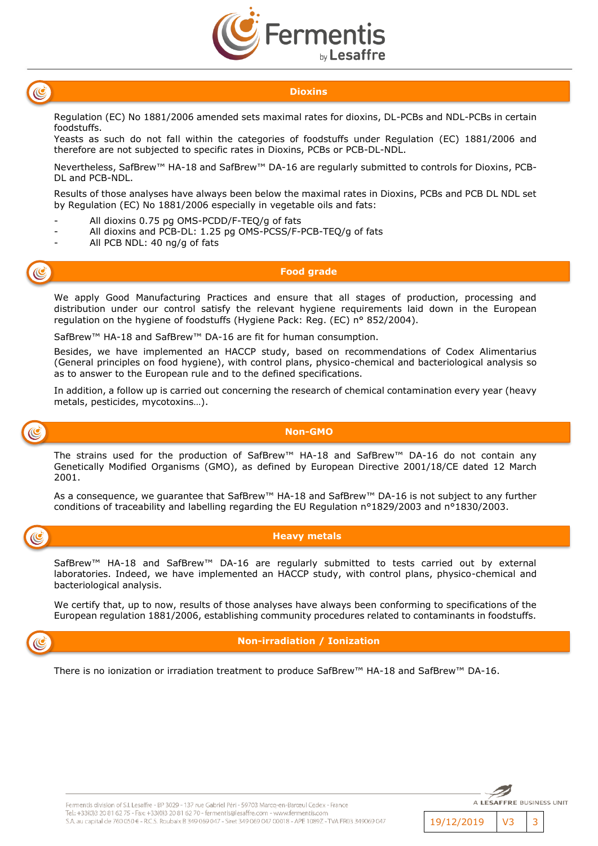



### **Dioxins**

Regulation (EC) No 1881/2006 amended sets maximal rates for dioxins, DL-PCBs and NDL-PCBs in certain foodstuffs.

Yeasts as such do not fall within the categories of foodstuffs under Regulation (EC) 1881/2006 and therefore are not subjected to specific rates in Dioxins, PCBs or PCB-DL-NDL.

Nevertheless, SafBrew™ HA-18 and SafBrew™ DA-16 are regularly submitted to controls for Dioxins, PCB-DL and PCB-NDL.

Results of those analyses have always been below the maximal rates in Dioxins, PCBs and PCB DL NDL set by Regulation (EC) No 1881/2006 especially in vegetable oils and fats:

- All dioxins 0.75 pg OMS-PCDD/F-TEQ/g of fats
- All dioxins and PCB-DL: 1.25 pg OMS-PCSS/F-PCB-TEQ/g of fats
- All PCB NDL: 40 ng/g of fats



### **Food grade**

We apply Good Manufacturing Practices and ensure that all stages of production, processing and distribution under our control satisfy the relevant hygiene requirements laid down in the European regulation on the hygiene of foodstuffs (Hygiene Pack: Reg. (EC) n° 852/2004).

SafBrew™ HA-18 and SafBrew™ DA-16 are fit for human consumption.

Besides, we have implemented an HACCP study, based on recommendations of Codex Alimentarius (General principles on food hygiene), with control plans, physico-chemical and bacteriological analysis so as to answer to the European rule and to the defined specifications.

In addition, a follow up is carried out concerning the research of chemical contamination every year (heavy metals, pesticides, mycotoxins…).



### **Non-GMO**

The strains used for the production of SafBrew™ HA-18 and SafBrew™ DA-16 do not contain any Genetically Modified Organisms (GMO), as defined by European Directive 2001/18/CE dated 12 March 2001.

As a consequence, we guarantee that SafBrew™ HA-18 and SafBrew™ DA-16 is not subject to any further conditions of traceability and labelling regarding the EU Regulation n°1829/2003 and n°1830/2003.



### **Heavy metals**

SafBrew™ HA-18 and SafBrew™ DA-16 are regularly submitted to tests carried out by external laboratories. Indeed, we have implemented an HACCP study, with control plans, physico-chemical and bacteriological analysis.

We certify that, up to now, results of those analyses have always been conforming to specifications of the European regulation 1881/2006, establishing community procedures related to contaminants in foodstuffs.

### **Non-irradiation / Ionization**

There is no ionization or irradiation treatment to produce SafBrew™ HA-18 and SafBrew™ DA-16.

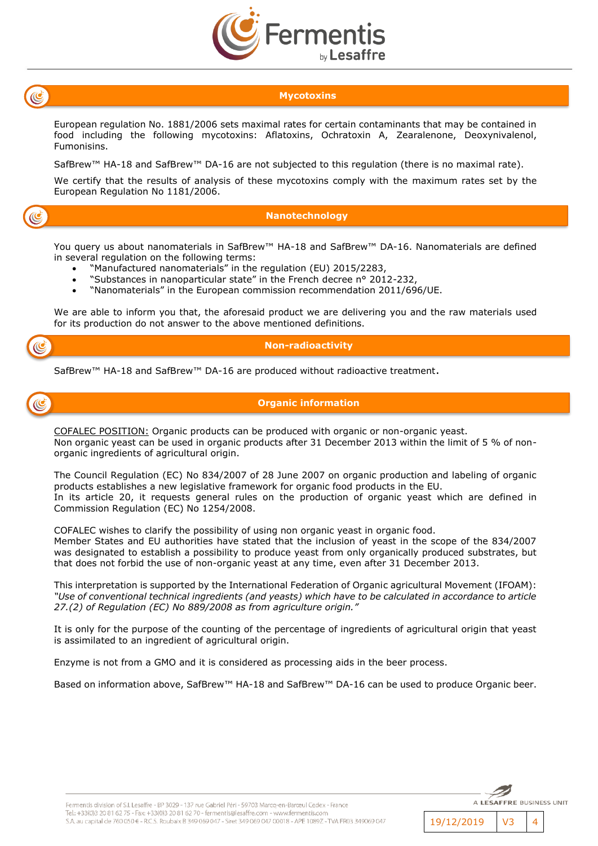

(C

### **Mycotoxins**

European regulation No. 1881/2006 sets maximal rates for certain contaminants that may be contained in food including the following mycotoxins: Aflatoxins, Ochratoxin A, Zearalenone, Deoxynivalenol, Fumonisins.

SafBrew™ HA-18 and SafBrew™ DA-16 are not subjected to this regulation (there is no maximal rate).

We certify that the results of analysis of these mycotoxins comply with the maximum rates set by the European Regulation No 1181/2006.

### **Nanotechnology**

You query us about nanomaterials in SafBrew™ HA-18 and SafBrew™ DA-16. Nanomaterials are defined in several regulation on the following terms:

- "Manufactured nanomaterials" in the regulation (EU) 2015/2283,
- "Substances in nanoparticular state" in the French decree n° 2012-232,
- "Nanomaterials" in the European commission recommendation 2011/696/UE.

We are able to inform you that, the aforesaid product we are delivering you and the raw materials used for its production do not answer to the above mentioned definitions.



### **Non-radioactivity**

SafBrew™ HA-18 and SafBrew™ DA-16 are produced without radioactive treatment.



### **Organic information**

COFALEC POSITION: Organic products can be produced with organic or non-organic yeast. Non organic yeast can be used in organic products after 31 December 2013 within the limit of 5 % of nonorganic ingredients of agricultural origin.

The Council Regulation (EC) No 834/2007 of 28 June 2007 on organic production and labeling of organic products establishes a new legislative framework for organic food products in the EU. In its article 20, it requests general rules on the production of organic yeast which are defined in Commission Regulation (EC) No 1254/2008.

COFALEC wishes to clarify the possibility of using non organic yeast in organic food.

Member States and EU authorities have stated that the inclusion of yeast in the scope of the 834/2007 was designated to establish a possibility to produce yeast from only organically produced substrates, but that does not forbid the use of non-organic yeast at any time, even after 31 December 2013.

This interpretation is supported by the International Federation of Organic agricultural Movement (IFOAM): *"Use of conventional technical ingredients (and yeasts) which have to be calculated in accordance to article 27.(2) of Regulation (EC) No 889/2008 as from agriculture origin."* 

It is only for the purpose of the counting of the percentage of ingredients of agricultural origin that yeast is assimilated to an ingredient of agricultural origin.

Enzyme is not from a GMO and it is considered as processing aids in the beer process.

Based on information above, SafBrew™ HA-18 and SafBrew™ DA-16 can be used to produce Organic beer.

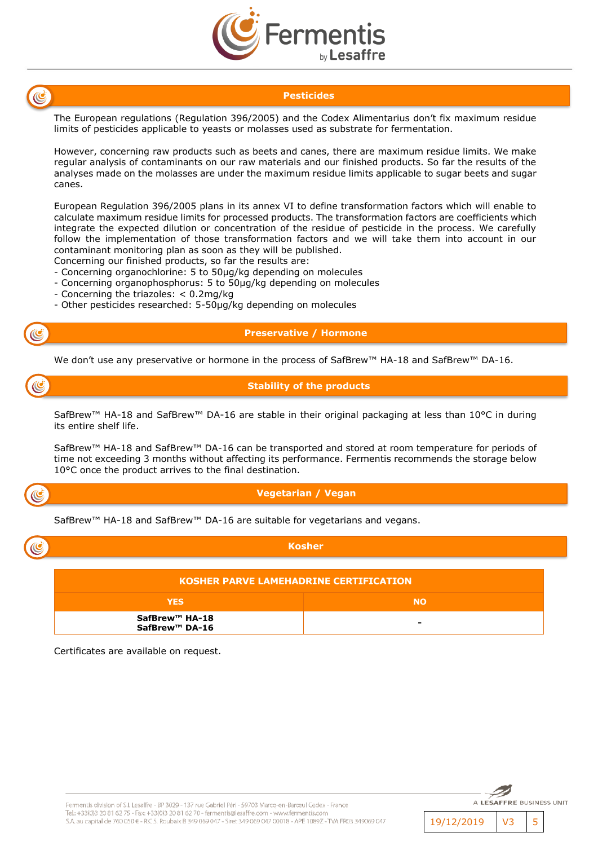



### **Pesticides**

The European regulations (Regulation 396/2005) and the Codex Alimentarius don't fix maximum residue limits of pesticides applicable to yeasts or molasses used as substrate for fermentation.

However, concerning raw products such as beets and canes, there are maximum residue limits. We make regular analysis of contaminants on our raw materials and our finished products. So far the results of the analyses made on the molasses are under the maximum residue limits applicable to sugar beets and sugar canes.

European Regulation 396/2005 plans in its annex VI to define transformation factors which will enable to calculate maximum residue limits for processed products. The transformation factors are coefficients which integrate the expected dilution or concentration of the residue of pesticide in the process. We carefully follow the implementation of those transformation factors and we will take them into account in our contaminant monitoring plan as soon as they will be published.

Concerning our finished products, so far the results are:

- Concerning organochlorine: 5 to 50µg/kg depending on molecules
- Concerning organophosphorus: 5 to 50µg/kg depending on molecules
- Concerning the triazoles: < 0.2mg/kg
- Other pesticides researched: 5-50µg/kg depending on molecules

### **Preservative / Hormone**

We don't use any preservative or hormone in the process of SafBrew™ HA-18 and SafBrew™ DA-16.

(C

**Stability of the products**

SafBrew™ HA-18 and SafBrew™ DA-16 are stable in their original packaging at less than 10°C in during its entire shelf life.

SafBrew™ HA-18 and SafBrew™ DA-16 can be transported and stored at room temperature for periods of time not exceeding 3 months without affecting its performance. Fermentis recommends the storage below 10°C once the product arrives to the final destination.



### **Vegetarian / Vegan**

SafBrew™ HA-18 and SafBrew™ DA-16 are suitable for vegetarians and vegans.

| 13 |  |
|----|--|

| KOSHER PARVE LAMEHADRINE CERTIFICATION |                          |
|----------------------------------------|--------------------------|
| <b>YES</b>                             | <b>NO</b>                |
| SafBrew™ HA-18<br>SafBrew™ DA-16       | $\overline{\phantom{0}}$ |

**Kosher**

Certificates are available on request.